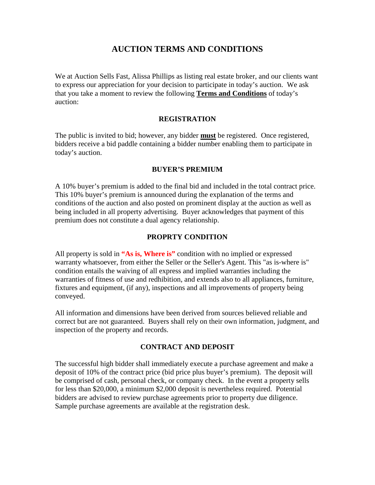## **AUCTION TERMS AND CONDITIONS**

We at Auction Sells Fast, Alissa Phillips as listing real estate broker, and our clients want to express our appreciation for your decision to participate in today's auction. We ask that you take a moment to review the following **Terms and Conditions** of today's auction:

## **REGISTRATION**

The public is invited to bid; however, any bidder **must** be registered. Once registered, bidders receive a bid paddle containing a bidder number enabling them to participate in today's auction.

#### **BUYER'S PREMIUM**

A 10% buyer's premium is added to the final bid and included in the total contract price. This 10% buyer's premium is announced during the explanation of the terms and conditions of the auction and also posted on prominent display at the auction as well as being included in all property advertising. Buyer acknowledges that payment of this premium does not constitute a dual agency relationship.

#### **PROPRTY CONDITION**

All property is sold in **"As is, Where is"** condition with no implied or expressed warranty whatsoever, from either the Seller or the Seller's Agent. This "as is-where is" condition entails the waiving of all express and implied warranties including the warranties of fitness of use and redhibition, and extends also to all appliances, furniture, fixtures and equipment, (if any), inspections and all improvements of property being conveyed.

All information and dimensions have been derived from sources believed reliable and correct but are not guaranteed. Buyers shall rely on their own information, judgment, and inspection of the property and records.

## **CONTRACT AND DEPOSIT**

The successful high bidder shall immediately execute a purchase agreement and make a deposit of 10% of the contract price (bid price plus buyer's premium). The deposit will be comprised of cash, personal check, or company check. In the event a property sells for less than \$20,000, a minimum \$2,000 deposit is nevertheless required. Potential bidders are advised to review purchase agreements prior to property due diligence. Sample purchase agreements are available at the registration desk.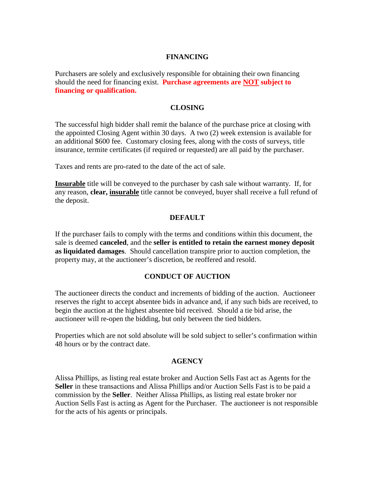## **FINANCING**

Purchasers are solely and exclusively responsible for obtaining their own financing should the need for financing exist. **Purchase agreements are NOT subject to financing or qualification.**

#### **CLOSING**

The successful high bidder shall remit the balance of the purchase price at closing with the appointed Closing Agent within 30 days. A two (2) week extension is available for an additional \$600 fee. Customary closing fees, along with the costs of surveys, title insurance, termite certificates (if required or requested) are all paid by the purchaser.

Taxes and rents are pro-rated to the date of the act of sale.

**Insurable** title will be conveyed to the purchaser by cash sale without warranty. If, for any reason, **clear, insurable** title cannot be conveyed, buyer shall receive a full refund of the deposit.

#### **DEFAULT**

If the purchaser fails to comply with the terms and conditions within this document, the sale is deemed **canceled**, and the **seller is entitled to retain the earnest money deposit as liquidated damages**. Should cancellation transpire prior to auction completion, the property may, at the auctioneer's discretion, be reoffered and resold.

#### **CONDUCT OF AUCTION**

The auctioneer directs the conduct and increments of bidding of the auction. Auctioneer reserves the right to accept absentee bids in advance and, if any such bids are received, to begin the auction at the highest absentee bid received. Should a tie bid arise, the auctioneer will re-open the bidding, but only between the tied bidders.

Properties which are not sold absolute will be sold subject to seller's confirmation within 48 hours or by the contract date.

#### **AGENCY**

Alissa Phillips, as listing real estate broker and Auction Sells Fast act as Agents for the **Seller** in these transactions and Alissa Phillips and/or Auction Sells Fast is to be paid a commission by the **Seller**. Neither Alissa Phillips, as listing real estate broker nor Auction Sells Fast is acting as Agent for the Purchaser. The auctioneer is not responsible for the acts of his agents or principals.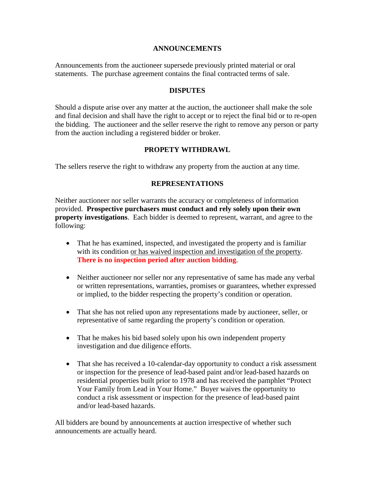#### **ANNOUNCEMENTS**

Announcements from the auctioneer supersede previously printed material or oral statements. The purchase agreement contains the final contracted terms of sale.

## **DISPUTES**

Should a dispute arise over any matter at the auction, the auctioneer shall make the sole and final decision and shall have the right to accept or to reject the final bid or to re-open the bidding. The auctioneer and the seller reserve the right to remove any person or party from the auction including a registered bidder or broker.

## **PROPETY WITHDRAWL**

The sellers reserve the right to withdraw any property from the auction at any time.

## **REPRESENTATIONS**

Neither auctioneer nor seller warrants the accuracy or completeness of information provided. **Prospective purchasers must conduct and rely solely upon their own property investigations**. Each bidder is deemed to represent, warrant, and agree to the following:

- That he has examined, inspected, and investigated the property and is familiar with its condition or has waived inspection and investigation of the property. **There is no inspection period after auction bidding**.
- Neither auctioneer nor seller nor any representative of same has made any verbal or written representations, warranties, promises or guarantees, whether expressed or implied, to the bidder respecting the property's condition or operation.
- That she has not relied upon any representations made by auctioneer, seller, or representative of same regarding the property's condition or operation.
- That he makes his bid based solely upon his own independent property investigation and due diligence efforts.
- That she has received a 10-calendar-day opportunity to conduct a risk assessment or inspection for the presence of lead-based paint and/or lead-based hazards on residential properties built prior to 1978 and has received the pamphlet "Protect Your Family from Lead in Your Home." Buyer waives the opportunity to conduct a risk assessment or inspection for the presence of lead-based paint and/or lead-based hazards.

All bidders are bound by announcements at auction irrespective of whether such announcements are actually heard.